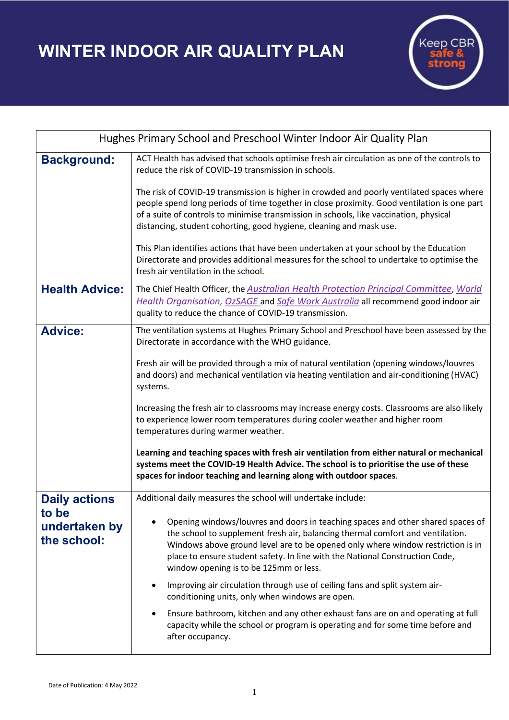WINTER INDOOR AIR QUALITY PLAN



| Hughes Primary School and Preschool Winter Indoor Air Quality Plan |                                                                                                                                                                                                                                                                                                                                                                                |
|--------------------------------------------------------------------|--------------------------------------------------------------------------------------------------------------------------------------------------------------------------------------------------------------------------------------------------------------------------------------------------------------------------------------------------------------------------------|
| <b>Background:</b>                                                 | ACT Health has advised that schools optimise fresh air circulation as one of the controls to<br>reduce the risk of COVID-19 transmission in schools.                                                                                                                                                                                                                           |
|                                                                    | The risk of COVID-19 transmission is higher in crowded and poorly ventilated spaces where<br>people spend long periods of time together in close proximity. Good ventilation is one part<br>of a suite of controls to minimise transmission in schools, like vaccination, physical<br>distancing, student cohorting, good hygiene, cleaning and mask use.                      |
|                                                                    | This Plan identifies actions that have been undertaken at your school by the Education<br>Directorate and provides additional measures for the school to undertake to optimise the<br>fresh air ventilation in the school.                                                                                                                                                     |
| <b>Health Advice:</b>                                              | The Chief Health Officer, the Australian Health Protection Principal Committee, World<br>Health Organisation, OzSAGE and Safe Work Australia all recommend good indoor air<br>quality to reduce the chance of COVID-19 transmission.                                                                                                                                           |
| <b>Advice:</b>                                                     | The ventilation systems at Hughes Primary School and Preschool have been assessed by the<br>Directorate in accordance with the WHO guidance.                                                                                                                                                                                                                                   |
|                                                                    | Fresh air will be provided through a mix of natural ventilation (opening windows/louvres<br>and doors) and mechanical ventilation via heating ventilation and air-conditioning (HVAC)<br>systems.                                                                                                                                                                              |
|                                                                    | Increasing the fresh air to classrooms may increase energy costs. Classrooms are also likely<br>to experience lower room temperatures during cooler weather and higher room<br>temperatures during warmer weather.                                                                                                                                                             |
|                                                                    | Learning and teaching spaces with fresh air ventilation from either natural or mechanical<br>systems meet the COVID-19 Health Advice. The school is to prioritise the use of these<br>spaces for indoor teaching and learning along with outdoor spaces.                                                                                                                       |
| <b>Daily actions</b><br>to be<br>undertaken by<br>the school:      | Additional daily measures the school will undertake include:                                                                                                                                                                                                                                                                                                                   |
|                                                                    | Opening windows/louvres and doors in teaching spaces and other shared spaces of<br>the school to supplement fresh air, balancing thermal comfort and ventilation.<br>Windows above ground level are to be opened only where window restriction is in<br>place to ensure student safety. In line with the National Construction Code,<br>window opening is to be 125mm or less. |
|                                                                    | Improving air circulation through use of ceiling fans and split system air-<br>conditioning units, only when windows are open.                                                                                                                                                                                                                                                 |
|                                                                    | Ensure bathroom, kitchen and any other exhaust fans are on and operating at full<br>capacity while the school or program is operating and for some time before and<br>after occupancy.                                                                                                                                                                                         |